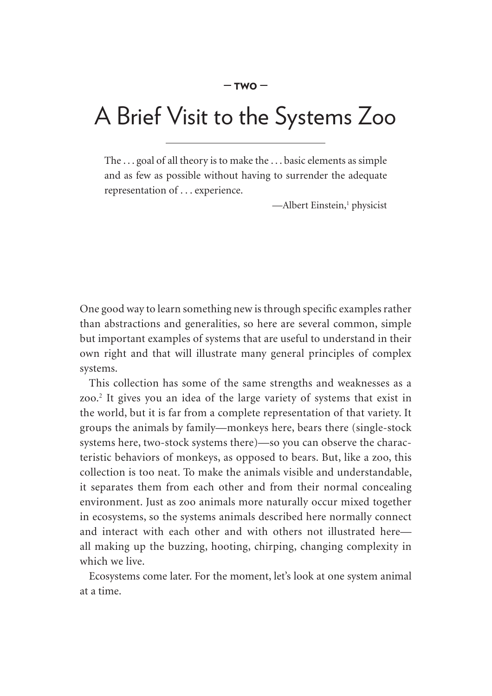# A Brief Visit to the Systems Zoo

The . . . goal of all theory is to make the . . . basic elements as simple and as few as possible without having to surrender the adequate representation of . . . experience.

-Albert Einstein,<sup>1</sup> physicist

One good way to learn something new is through specific examples rather than abstractions and generalities, so here are several common, simple but important examples of systems that are useful to understand in their own right and that will illustrate many general principles of complex systems.

This collection has some of the same strengths and weaknesses as a zoo.2 It gives you an idea of the large variety of systems that exist in the world, but it is far from a complete representation of that variety. It groups the animals by family—monkeys here, bears there (single-stock systems here, two-stock systems there)—so you can observe the characteristic behaviors of monkeys, as opposed to bears. But, like a zoo, this collection is too neat. To make the animals visible and understandable, it separates them from each other and from their normal concealing environment. Just as zoo animals more naturally occur mixed together in ecosystems, so the systems animals described here normally connect and interact with each other and with others not illustrated here all making up the buzzing, hooting, chirping, changing complexity in which we live.

Ecosystems come later. For the moment, let's look at one system animal at a time.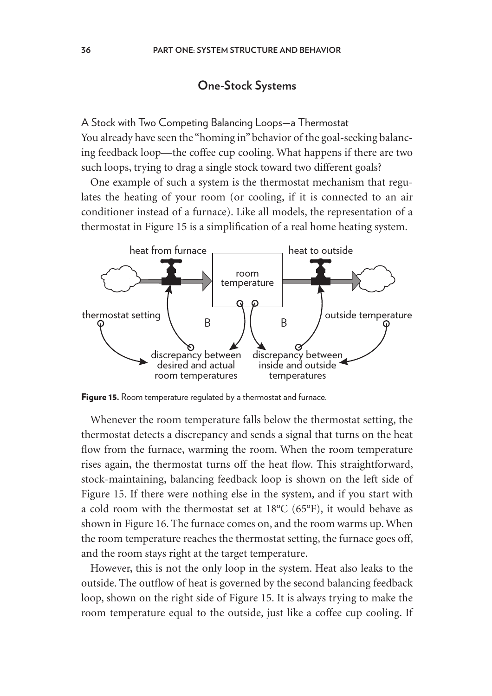### **One-Stock Systems**

A Stock with Two Competing Balancing Loops—a Thermostat You already have seen the "homing in" behavior of the goal-seeking balancing feedback loop—the coffee cup cooling. What happens if there are two such loops, trying to drag a single stock toward two different goals?

One example of such a system is the thermostat mechanism that regulates the heating of your room (or cooling, if it is connected to an air conditioner instead of a furnace). Like all models, the representation of a thermostat in Figure 15 is a simplification of a real home heating system.



Figure 15. Room temperature regulated by a thermostat and furnace.

Whenever the room temperature falls below the thermostat setting, the thermostat detects a discrepancy and sends a signal that turns on the heat flow from the furnace, warming the room. When the room temperature rises again, the thermostat turns off the heat flow. This straightforward, stock-maintaining, balancing feedback loop is shown on the left side of Figure 15. If there were nothing else in the system, and if you start with a cold room with the thermostat set at 18°C (65°F), it would behave as shown in Figure 16. The furnace comes on, and the room warms up. When the room temperature reaches the thermostat setting, the furnace goes off, and the room stays right at the target temperature.

However, this is not the only loop in the system. Heat also leaks to the outside. The outflow of heat is governed by the second balancing feedback loop, shown on the right side of Figure 15. It is always trying to make the room temperature equal to the outside, just like a coffee cup cooling. If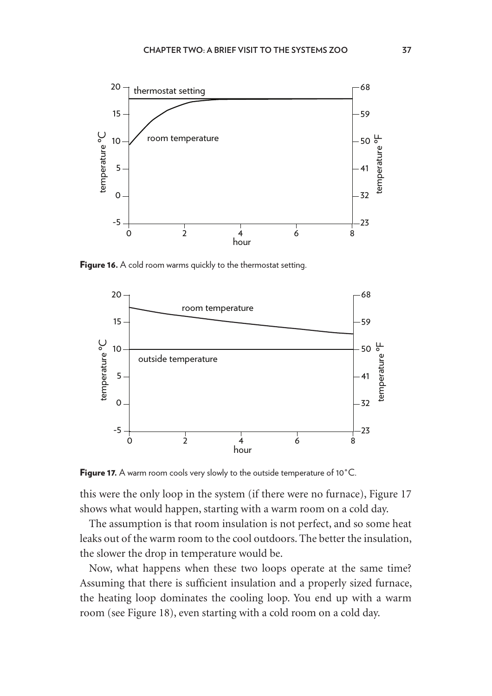

Figure 16. A cold room warms quickly to the thermostat setting.



Figure 17. A warm room cools very slowly to the outside temperature of 10°C.

this were the only loop in the system (if there were no furnace), Figure 17 shows what would happen, starting with a warm room on a cold day.

The assumption is that room insulation is not perfect, and so some heat leaks out of the warm room to the cool outdoors. The better the insulation, the slower the drop in temperature would be.

Now, what happens when these two loops operate at the same time? Assuming that there is sufficient insulation and a properly sized furnace, the heating loop dominates the cooling loop. You end up with a warm room (see Figure 18), even starting with a cold room on a cold day.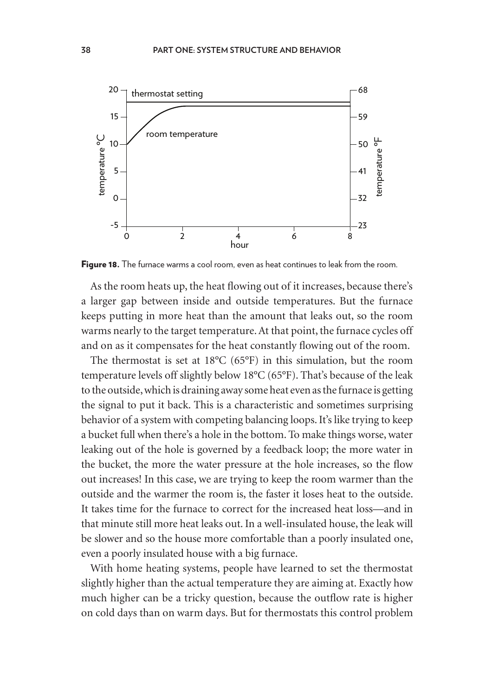

Figure 18. The furnace warms a cool room, even as heat continues to leak from the room.

As the room heats up, the heat flowing out of it increases, because there's a larger gap between inside and outside temperatures. But the furnace keeps putting in more heat than the amount that leaks out, so the room warms nearly to the target temperature. At that point, the furnace cycles off and on as it compensates for the heat constantly flowing out of the room.

The thermostat is set at 18°C (65°F) in this simulation, but the room temperature levels off slightly below 18°C (65°F). That's because of the leak to the outside, which is draining away some heat even as the furnace is getting the signal to put it back. This is a characteristic and sometimes surprising behavior of a system with competing balancing loops. It's like trying to keep a bucket full when there's a hole in the bottom. To make things worse, water leaking out of the hole is governed by a feedback loop; the more water in the bucket, the more the water pressure at the hole increases, so the flow out increases! In this case, we are trying to keep the room warmer than the outside and the warmer the room is, the faster it loses heat to the outside. It takes time for the furnace to correct for the increased heat loss—and in that minute still more heat leaks out. In a well-insulated house, the leak will be slower and so the house more comfortable than a poorly insulated one, even a poorly insulated house with a big furnace.

With home heating systems, people have learned to set the thermostat slightly higher than the actual temperature they are aiming at. Exactly how much higher can be a tricky question, because the outflow rate is higher on cold days than on warm days. But for thermostats this control problem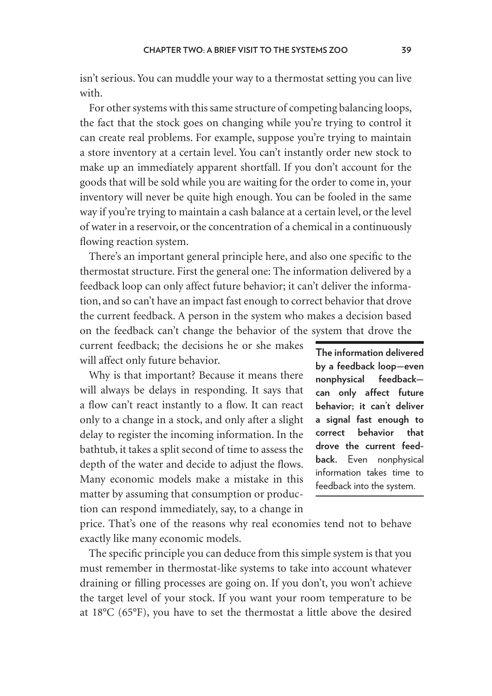isn't serious. You can muddle your way to a thermostat setting you can live with.

For other systems with this same structure of competing balancing loops, the fact that the stock goes on changing while you're trying to control it can create real problems. For example, suppose you're trying to maintain a store inventory at a certain level. You can't instantly order new stock to make up an immediately apparent shortfall. If you don't account for the goods that will be sold while you are waiting for the order to come in, your inventory will never be quite high enough. You can be fooled in the same way if you're trying to maintain a cash balance at a certain level, or the level of water in a reservoir, or the concentration of a chemical in a continuously flowing reaction system.

There's an important general principle here, and also one specific to the thermostat structure. First the general one: The information delivered by a feedback loop can only affect future behavior; it can't deliver the information, and so can't have an impact fast enough to correct behavior that drove the current feedback. A person in the system who makes a decision based on the feedback can't change the behavior of the system that drove the

current feedback; the decisions he or she makes will affect only future behavior.

Why is that important? Because it means there will always be delays in responding. It says that a flow can't react instantly to a flow. It can react only to a change in a stock, and only after a slight delay to register the incoming information. In the bathtub, it takes a split second of time to assess the depth of the water and decide to adjust the flows. Many economic models make a mistake in this matter by assuming that consumption or production can respond immediately, say, to a change in

**The information delivered by a feedback loop—even nonphysical feedback can only af ect future behavior; it can't deliver a signal fast enough to correct behavior that drove the current feedback.** Even nonphysical information takes time to feedback into the system.

price. That's one of the reasons why real economies tend not to behave exactly like many economic models.

The specific principle you can deduce from this simple system is that you must remember in thermostat-like systems to take into account whatever draining or filling processes are going on. If you don't, you won't achieve the target level of your stock. If you want your room temperature to be at 18°C (65°F), you have to set the thermostat a little above the desired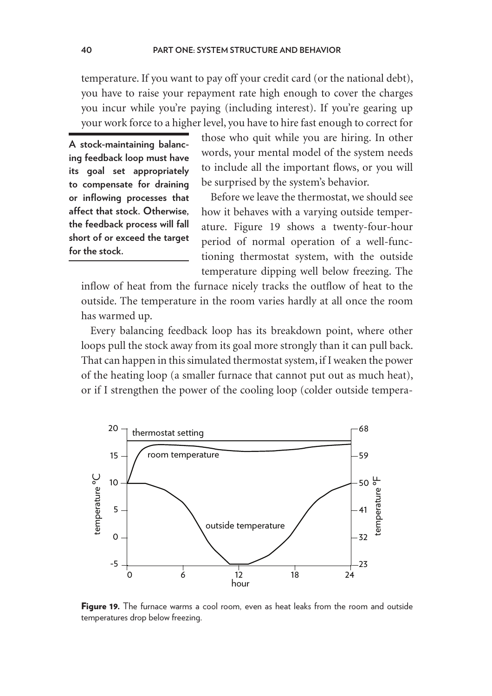temperature. If you want to pay off your credit card (or the national debt), you have to raise your repayment rate high enough to cover the charges you incur while you're paying (including interest). If you're gearing up your work force to a higher level, you have to hire fast enough to correct for

**A stock-maintaining balancing feedback loop must have its goal set appropriately to compensate for draining**  or inflowing processes that **af ect that stock. Otherwise, the feedback process will fall short of or exceed the target for the stock.**

those who quit while you are hiring. In other words, your mental model of the system needs to include all the important flows, or you will be surprised by the system's behavior.

Before we leave the thermostat, we should see how it behaves with a varying outside temperature. Figure 19 shows a twenty-four-hour period of normal operation of a well-functioning thermostat system, with the outside temperature dipping well below freezing. The

inflow of heat from the furnace nicely tracks the outflow of heat to the outside. The temperature in the room varies hardly at all once the room has warmed up.

Every balancing feedback loop has its breakdown point, where other loops pull the stock away from its goal more strongly than it can pull back. That can happen in this simulated thermostat system, if I weaken the power of the heating loop (a smaller furnace that cannot put out as much heat), or if I strengthen the power of the cooling loop (colder outside tempera-



Figure 19. The furnace warms a cool room, even as heat leaks from the room and outside temperatures drop below freezing.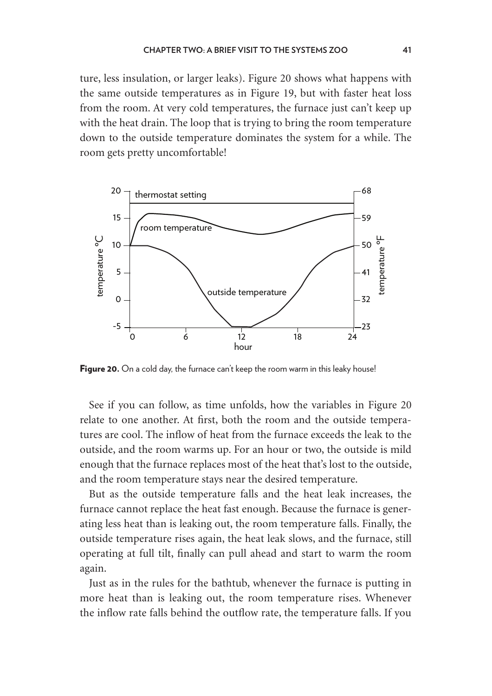ture, less insulation, or larger leaks). Figure 20 shows what happens with the same outside temperatures as in Figure 19, but with faster heat loss from the room. At very cold temperatures, the furnace just can't keep up with the heat drain. The loop that is trying to bring the room temperature down to the outside temperature dominates the system for a while. The room gets pretty uncomfortable!



Figure 20. On a cold day, the furnace can't keep the room warm in this leaky house!

See if you can follow, as time unfolds, how the variables in Figure 20 relate to one another. At first, both the room and the outside temperatures are cool. The inflow of heat from the furnace exceeds the leak to the outside, and the room warms up. For an hour or two, the outside is mild enough that the furnace replaces most of the heat that's lost to the outside, and the room temperature stays near the desired temperature.

But as the outside temperature falls and the heat leak increases, the furnace cannot replace the heat fast enough. Because the furnace is generating less heat than is leaking out, the room temperature falls. Finally, the outside temperature rises again, the heat leak slows, and the furnace, still operating at full tilt, finally can pull ahead and start to warm the room again.

Just as in the rules for the bathtub, whenever the furnace is putting in more heat than is leaking out, the room temperature rises. Whenever the inflow rate falls behind the outflow rate, the temperature falls. If you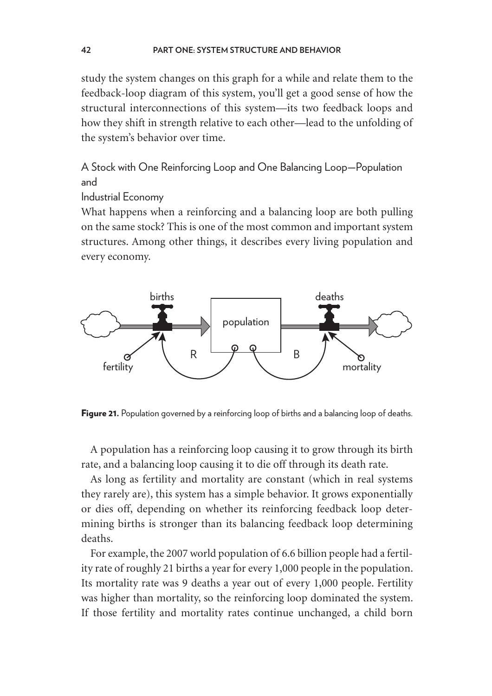study the system changes on this graph for a while and relate them to the feedback-loop diagram of this system, you'll get a good sense of how the structural interconnections of this system—its two feedback loops and how they shift in strength relative to each other—lead to the unfolding of the system's behavior over time.

A Stock with One Reinforcing Loop and One Balancing Loop—Population and

Industrial Economy

What happens when a reinforcing and a balancing loop are both pulling on the same stock? This is one of the most common and important system structures. Among other things, it describes every living population and every economy.



Figure 21. Population governed by a reinforcing loop of births and a balancing loop of deaths.

A population has a reinforcing loop causing it to grow through its birth rate, and a balancing loop causing it to die off through its death rate.

As long as fertility and mortality are constant (which in real systems they rarely are), this system has a simple behavior. It grows exponentially or dies off, depending on whether its reinforcing feedback loop determining births is stronger than its balancing feedback loop determining deaths.

For example, the 2007 world population of 6.6 billion people had a fertility rate of roughly 21 births a year for every 1,000 people in the population. Its mortality rate was 9 deaths a year out of every 1,000 people. Fertility was higher than mortality, so the reinforcing loop dominated the system. If those fertility and mortality rates continue unchanged, a child born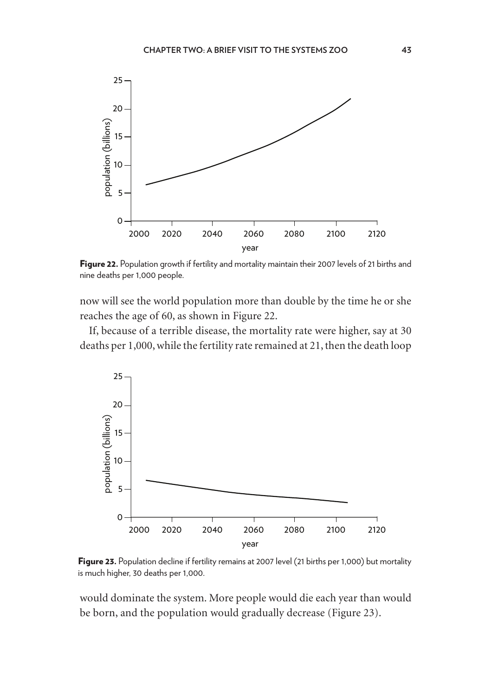

Figure 22. Population growth if fertility and mortality maintain their 2007 levels of 21 births and nine deaths per 1,000 people.

now will see the world population more than double by the time he or she reaches the age of 60, as shown in Figure 22.

If, because of a terrible disease, the mortality rate were higher, say at 30 deaths per 1,000, while the fertility rate remained at 21, then the death loop



Figure 23. Population decline if fertility remains at 2007 level (21 births per 1,000) but mortality is much higher, 30 deaths per 1,000.

would dominate the system. More people would die each year than would be born, and the population would gradually decrease (Figure 23).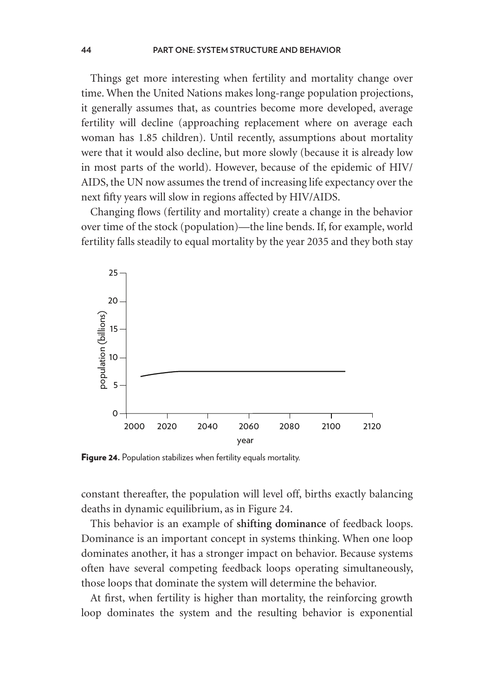Things get more interesting when fertility and mortality change over time. When the United Nations makes long-range population projections, it generally assumes that, as countries become more developed, average fertility will decline (approaching replacement where on average each woman has 1.85 children). Until recently, assumptions about mortality were that it would also decline, but more slowly (because it is already low in most parts of the world). However, because of the epidemic of HIV/ AIDS, the UN now assumes the trend of increasing life expectancy over the next fifty years will slow in regions affected by HIV/AIDS.

Changing flows (fertility and mortality) create a change in the behavior over time of the stock (population)—the line bends. If, for example, world fertility falls steadily to equal mortality by the year 2035 and they both stay



Figure 24. Population stabilizes when fertility equals mortality.

constant thereafter, the population will level off, births exactly balancing deaths in dynamic equilibrium, as in Figure 24.

This behavior is an example of **shifting dominance** of feedback loops. Dominance is an important concept in systems thinking. When one loop dominates another, it has a stronger impact on behavior. Because systems often have several competing feedback loops operating simultaneously, those loops that dominate the system will determine the behavior.

At first, when fertility is higher than mortality, the reinforcing growth loop dominates the system and the resulting behavior is exponential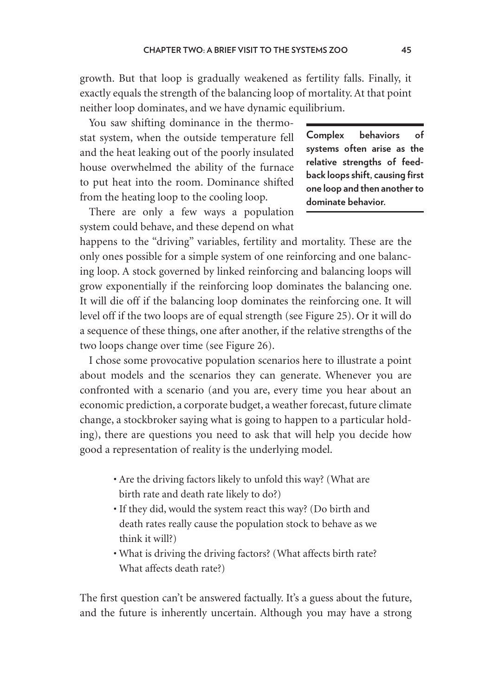growth. But that loop is gradually weakened as fertility falls. Finally, it exactly equals the strength of the balancing loop of mortality. At that point neither loop dominates, and we have dynamic equilibrium.

You saw shifting dominance in the thermostat system, when the outside temperature fell and the heat leaking out of the poorly insulated house overwhelmed the ability of the furnace to put heat into the room. Dominance shifted from the heating loop to the cooling loop.

There are only a few ways a population system could behave, and these depend on what **Complex behaviors of systems often arise as the relative strengths of feedback loops shift, causing first one loop and then another to dominate behavior.**

happens to the "driving" variables, fertility and mortality. These are the only ones possible for a simple system of one reinforcing and one balancing loop. A stock governed by linked reinforcing and balancing loops will grow exponentially if the reinforcing loop dominates the balancing one. It will die off if the balancing loop dominates the reinforcing one. It will level off if the two loops are of equal strength (see Figure 25). Or it will do a sequence of these things, one after another, if the relative strengths of the two loops change over time (see Figure 26).

I chose some provocative population scenarios here to illustrate a point about models and the scenarios they can generate. Whenever you are confronted with a scenario (and you are, every time you hear about an economic prediction, a corporate budget, a weather forecast, future climate change, a stockbroker saying what is going to happen to a particular holding), there are questions you need to ask that will help you decide how good a representation of reality is the underlying model.

- Are the driving factors likely to unfold this way? (What are birth rate and death rate likely to do?)
- If they did, would the system react this way? (Do birth and death rates really cause the population stock to behave as we think it will?)
- What is driving the driving factors? (What affects birth rate? What affects death rate?)

The first question can't be answered factually. It's a guess about the future, and the future is inherently uncertain. Although you may have a strong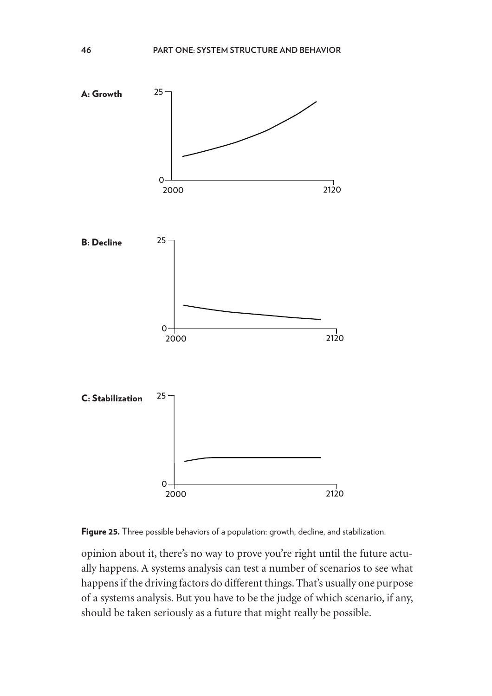

Figure 25. Three possible behaviors of a population: growth, decline, and stabilization.

opinion about it, there's no way to prove you're right until the future actually happens. A systems analysis can test a number of scenarios to see what happens if the driving factors do different things. That's usually one purpose of a systems analysis. But you have to be the judge of which scenario, if any, should be taken seriously as a future that might really be possible.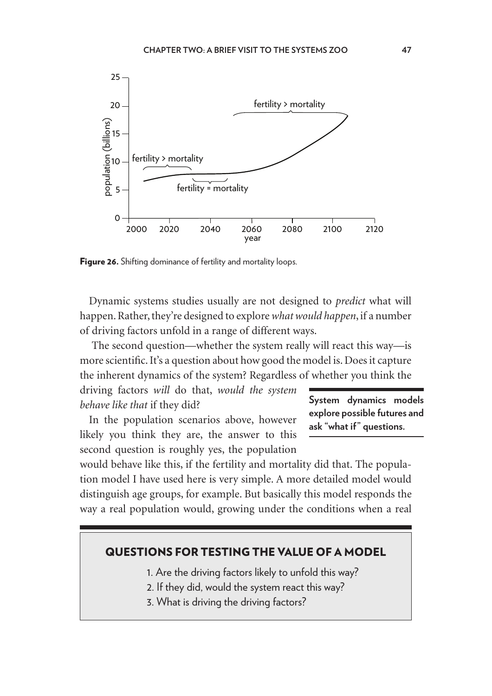

Figure 26. Shifting dominance of fertility and mortality loops.

Dynamic systems studies usually are not designed to *predict* what will happen. Rather, they're designed to explore *what would happen*, if a number of driving factors unfold in a range of different ways.

 The second question—whether the system really will react this way—is more scientific. It's a question about how good the model is. Does it capture the inherent dynamics of the system? Regardless of whether you think the

driving factors *will* do that, *would the system behave like that* if they did?

In the population scenarios above, however likely you think they are, the answer to this second question is roughly yes, the population

**System dynamics models explore possible futures and ask "what if" questions.**

would behave like this, if the fertility and mortality did that. The population model I have used here is very simple. A more detailed model would distinguish age groups, for example. But basically this model responds the way a real population would, growing under the conditions when a real

# QUESTIONS FOR TESTING THE VALUE OF A MODEL

- 1. Are the driving factors likely to unfold this way?
- 2. If they did, would the system react this way?
- 3. What is driving the driving factors?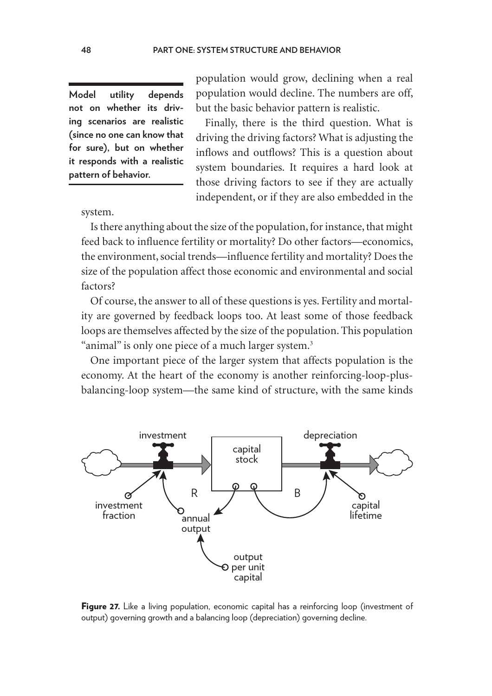**Model utility depends not on whether its driving scenarios are realistic (since no one can know that for sure), but on whether it responds with a realistic pattern of behavior.**

population would grow, declining when a real population would decline. The numbers are off, but the basic behavior pattern is realistic.

Finally, there is the third question. What is driving the driving factors? What is adjusting the inflows and outflows? This is a question about system boundaries. It requires a hard look at those driving factors to see if they are actually independent, or if they are also embedded in the

system.

Is there anything about the size of the population, for instance, that might feed back to influence fertility or mortality? Do other factors—economics, the environment, social trends—influence fertility and mortality? Does the size of the population affect those economic and environmental and social factors?

Of course, the answer to all of these questions is yes. Fertility and mortality are governed by feedback loops too. At least some of those feedback loops are themselves affected by the size of the population. This population "animal" is only one piece of a much larger system.<sup>3</sup>

One important piece of the larger system that affects population is the economy. At the heart of the economy is another reinforcing-loop-plusbalancing-loop system—the same kind of structure, with the same kinds



Figure 27. Like a living population, economic capital has a reinforcing loop (investment of output) governing growth and a balancing loop (depreciation) governing decline.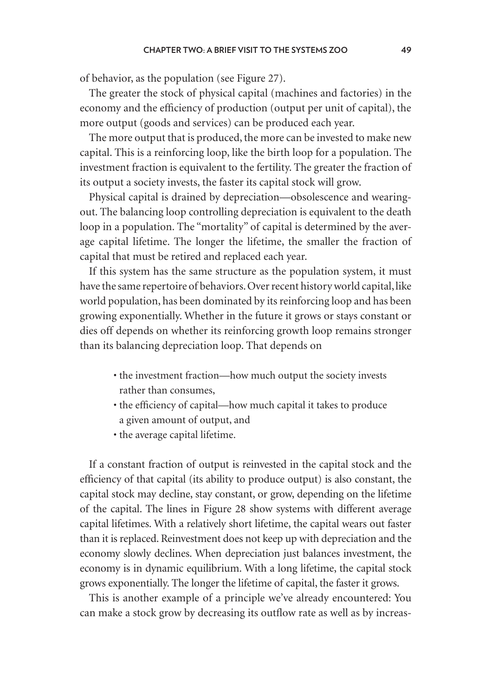of behavior, as the population (see Figure 27).

The greater the stock of physical capital (machines and factories) in the economy and the efficiency of production (output per unit of capital), the more output (goods and services) can be produced each year.

The more output that is produced, the more can be invested to make new capital. This is a reinforcing loop, like the birth loop for a population. The investment fraction is equivalent to the fertility. The greater the fraction of its output a society invests, the faster its capital stock will grow.

Physical capital is drained by depreciation—obsolescence and wearingout. The balancing loop controlling depreciation is equivalent to the death loop in a population. The "mortality" of capital is determined by the average capital lifetime. The longer the lifetime, the smaller the fraction of capital that must be retired and replaced each year.

If this system has the same structure as the population system, it must have the same repertoire of behaviors. Over recent history world capital, like world population, has been dominated by its reinforcing loop and has been growing exponentially. Whether in the future it grows or stays constant or dies off depends on whether its reinforcing growth loop remains stronger than its balancing depreciation loop. That depends on

- the investment fraction—how much output the society invests rather than consumes,
- the efficiency of capital—how much capital it takes to produce a given amount of output, and
- the average capital lifetime.

If a constant fraction of output is reinvested in the capital stock and the efficiency of that capital (its ability to produce output) is also constant, the capital stock may decline, stay constant, or grow, depending on the lifetime of the capital. The lines in Figure 28 show systems with different average capital lifetimes. With a relatively short lifetime, the capital wears out faster than it is replaced. Reinvestment does not keep up with depreciation and the economy slowly declines. When depreciation just balances investment, the economy is in dynamic equilibrium. With a long lifetime, the capital stock grows exponentially. The longer the lifetime of capital, the faster it grows.

This is another example of a principle we've already encountered: You can make a stock grow by decreasing its outflow rate as well as by increas-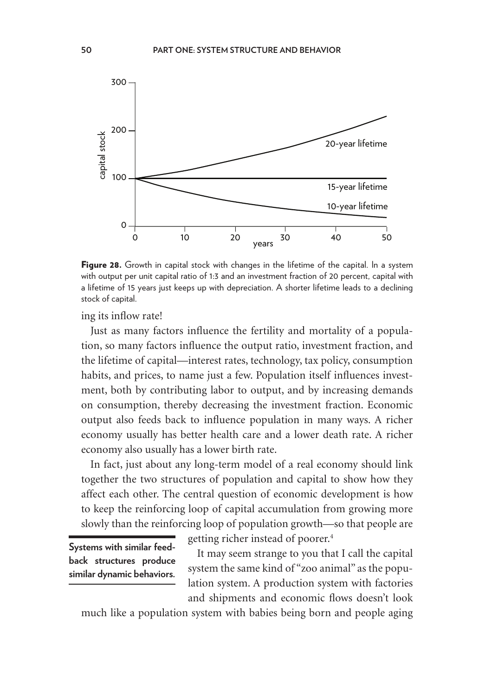

Figure 28. Growth in capital stock with changes in the lifetime of the capital. In a system with output per unit capital ratio of 1:3 and an investment fraction of 20 percent, capital with a lifetime of 15 years just keeps up with depreciation. A shorter lifetime leads to a declining stock of capital.

ing its inflow rate!

Just as many factors influence the fertility and mortality of a population, so many factors influence the output ratio, investment fraction, and the lifetime of capital—interest rates, technology, tax policy, consumption habits, and prices, to name just a few. Population itself influences investment, both by contributing labor to output, and by increasing demands on consumption, thereby decreasing the investment fraction. Economic output also feeds back to influence population in many ways. A richer economy usually has better health care and a lower death rate. A richer economy also usually has a lower birth rate.

In fact, just about any long-term model of a real economy should link together the two structures of population and capital to show how they affect each other. The central question of economic development is how to keep the reinforcing loop of capital accumulation from growing more slowly than the reinforcing loop of population growth—so that people are

**Systems with similar feedback structures produce similar dynamic behaviors.** getting richer instead of poorer.4

It may seem strange to you that I call the capital system the same kind of "zoo animal" as the population system. A production system with factories and shipments and economic flows doesn't look

much like a population system with babies being born and people aging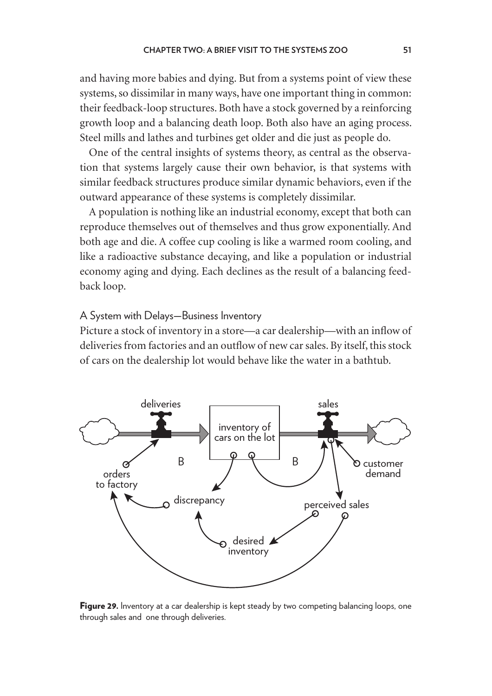and having more babies and dying. But from a systems point of view these systems, so dissimilar in many ways, have one important thing in common: their feedback-loop structures. Both have a stock governed by a reinforcing growth loop and a balancing death loop. Both also have an aging process. Steel mills and lathes and turbines get older and die just as people do.

One of the central insights of systems theory, as central as the observation that systems largely cause their own behavior, is that systems with similar feedback structures produce similar dynamic behaviors, even if the outward appearance of these systems is completely dissimilar.

A population is nothing like an industrial economy, except that both can reproduce themselves out of themselves and thus grow exponentially. And both age and die. A coffee cup cooling is like a warmed room cooling, and like a radioactive substance decaying, and like a population or industrial economy aging and dying. Each declines as the result of a balancing feedback loop.

#### A System with Delays—Business Inventory

Picture a stock of inventory in a store—a car dealership—with an inflow of deliveries from factories and an outflow of new car sales. By itself, this stock of cars on the dealership lot would behave like the water in a bathtub.



Figure 29. Inventory at a car dealership is kept steady by two competing balancing loops, one through sales and one through deliveries.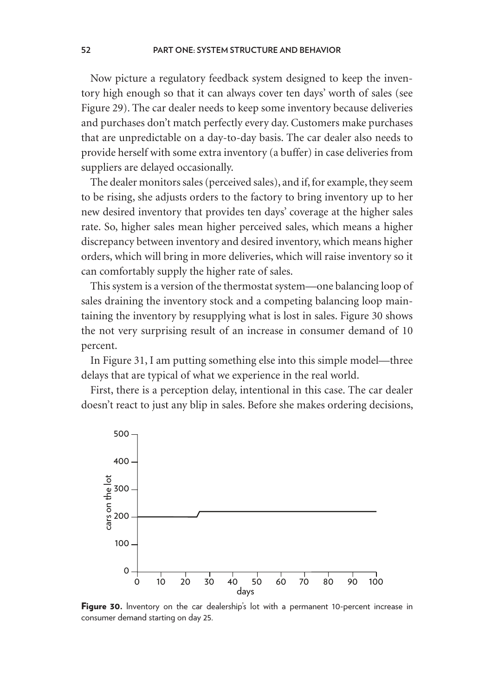Now picture a regulatory feedback system designed to keep the inventory high enough so that it can always cover ten days' worth of sales (see Figure 29). The car dealer needs to keep some inventory because deliveries and purchases don't match perfectly every day. Customers make purchases that are unpredictable on a day-to-day basis. The car dealer also needs to provide herself with some extra inventory (a buffer) in case deliveries from suppliers are delayed occasionally.

The dealer monitors sales (perceived sales), and if, for example, they seem to be rising, she adjusts orders to the factory to bring inventory up to her new desired inventory that provides ten days' coverage at the higher sales rate. So, higher sales mean higher perceived sales, which means a higher discrepancy between inventory and desired inventory, which means higher orders, which will bring in more deliveries, which will raise inventory so it can comfortably supply the higher rate of sales.

This system is a version of the thermostat system—one balancing loop of sales draining the inventory stock and a competing balancing loop maintaining the inventory by resupplying what is lost in sales. Figure 30 shows the not very surprising result of an increase in consumer demand of 10 percent.

In Figure 31, I am putting something else into this simple model—three delays that are typical of what we experience in the real world.

First, there is a perception delay, intentional in this case. The car dealer doesn't react to just any blip in sales. Before she makes ordering decisions,



Figure 30. Inventory on the car dealership's lot with a permanent 10-percent increase in consumer demand starting on day 25.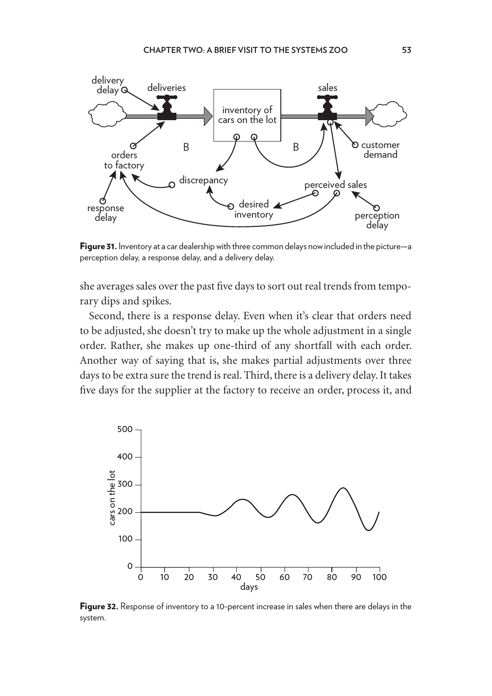

Figure 31. Inventory at a car dealership with three common delays now included in the picture-a perception delay, a response delay, and a delivery delay.

she averages sales over the past five days to sort out real trends from temporary dips and spikes.

Second, there is a response delay. Even when it's clear that orders need to be adjusted, she doesn't try to make up the whole adjustment in a single order. Rather, she makes up one-third of any shortfall with each order. Another way of saying that is, she makes partial adjustments over three days to be extra sure the trend is real. Third, there is a delivery delay. It takes five days for the supplier at the factory to receive an order, process it, and



Figure 32. Response of inventory to a 10-percent increase in sales when there are delays in the system.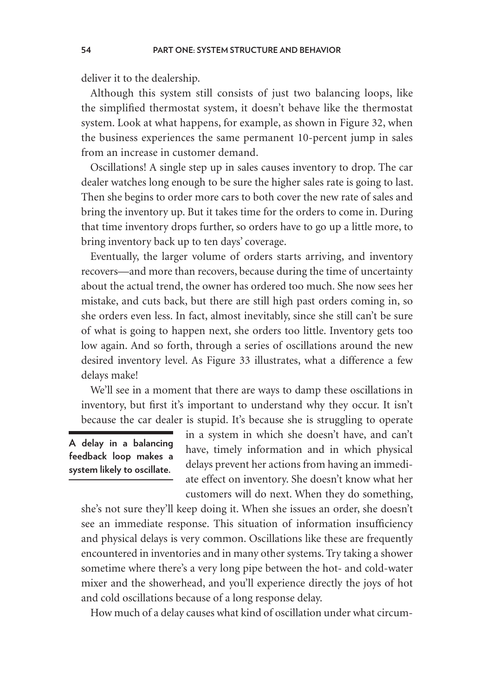deliver it to the dealership.

Although this system still consists of just two balancing loops, like the simplified thermostat system, it doesn't behave like the thermostat system. Look at what happens, for example, as shown in Figure 32, when the business experiences the same permanent 10-percent jump in sales from an increase in customer demand.

Oscillations! A single step up in sales causes inventory to drop. The car dealer watches long enough to be sure the higher sales rate is going to last. Then she begins to order more cars to both cover the new rate of sales and bring the inventory up. But it takes time for the orders to come in. During that time inventory drops further, so orders have to go up a little more, to bring inventory back up to ten days' coverage.

Eventually, the larger volume of orders starts arriving, and inventory recovers—and more than recovers, because during the time of uncertainty about the actual trend, the owner has ordered too much. She now sees her mistake, and cuts back, but there are still high past orders coming in, so she orders even less. In fact, almost inevitably, since she still can't be sure of what is going to happen next, she orders too little. Inventory gets too low again. And so forth, through a series of oscillations around the new desired inventory level. As Figure 33 illustrates, what a difference a few delays make!

We'll see in a moment that there are ways to damp these oscillations in inventory, but first it's important to understand why they occur. It isn't because the car dealer is stupid. It's because she is struggling to operate

**A delay in a balancing feedback loop makes a system likely to oscillate.**

in a system in which she doesn't have, and can't have, timely information and in which physical delays prevent her actions from having an immediate effect on inventory. She doesn't know what her customers will do next. When they do something,

she's not sure they'll keep doing it. When she issues an order, she doesn't see an immediate response. This situation of information insufficiency and physical delays is very common. Oscillations like these are frequently encountered in inventories and in many other systems. Try taking a shower sometime where there's a very long pipe between the hot- and cold-water mixer and the showerhead, and you'll experience directly the joys of hot and cold oscillations because of a long response delay.

How much of a delay causes what kind of oscillation under what circum-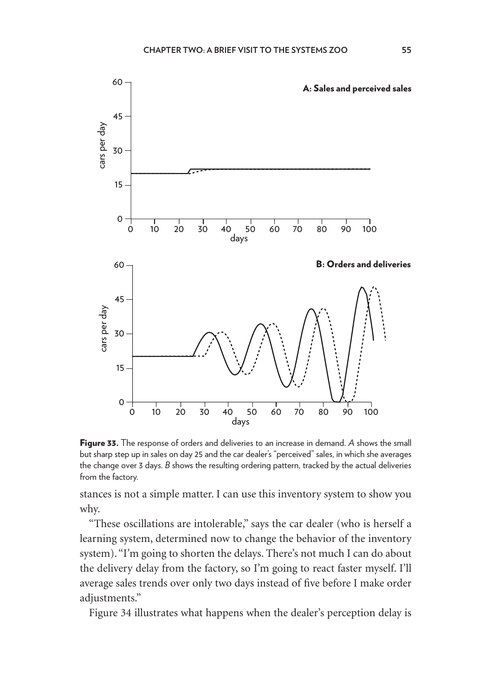

Figure 33. The response of orders and deliveries to an increase in demand. *A* shows the small but sharp step up in sales on day 25 and the car dealer's "perceived" sales, in which she averages the change over 3 days. *B* shows the resulting ordering pattern, tracked by the actual deliveries from the factory.

stances is not a simple matter. I can use this inventory system to show you why.

"These oscillations are intolerable," says the car dealer (who is herself a learning system, determined now to change the behavior of the inventory system). "I'm going to shorten the delays. There's not much I can do about the delivery delay from the factory, so I'm going to react faster myself. I'll average sales trends over only two days instead of five before I make order adjustments."

Figure 34 illustrates what happens when the dealer's perception delay is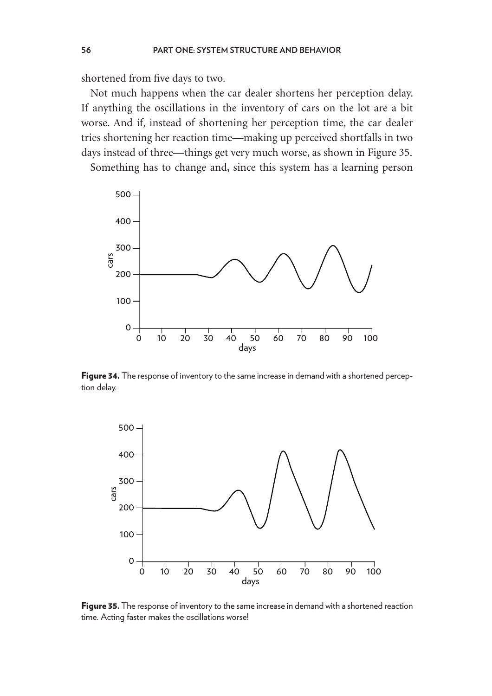shortened from five days to two.

Not much happens when the car dealer shortens her perception delay. If anything the oscillations in the inventory of cars on the lot are a bit worse. And if, instead of shortening her perception time, the car dealer tries shortening her reaction time—making up perceived shortfalls in two days instead of three—things get very much worse, as shown in Figure 35.

Something has to change and, since this system has a learning person



Figure 34. The response of inventory to the same increase in demand with a shortened perception delay.



Figure 35. The response of inventory to the same increase in demand with a shortened reaction time. Acting faster makes the oscillations worse!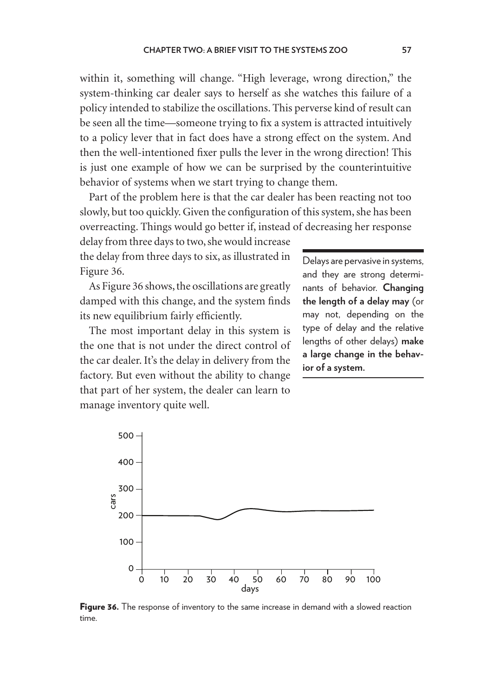within it, something will change. "High leverage, wrong direction," the system-thinking car dealer says to herself as she watches this failure of a policy intended to stabilize the oscillations. This perverse kind of result can be seen all the time—someone trying to fix a system is attracted intuitively to a policy lever that in fact does have a strong effect on the system. And then the well-intentioned fixer pulls the lever in the wrong direction! This is just one example of how we can be surprised by the counterintuitive behavior of systems when we start trying to change them.

Part of the problem here is that the car dealer has been reacting not too slowly, but too quickly. Given the configuration of this system, she has been overreacting. Things would go better if, instead of decreasing her response

delay from three days to two, she would increase the delay from three days to six, as illustrated in Figure 36.

As Figure 36 shows, the oscillations are greatly damped with this change, and the system finds its new equilibrium fairly efficiently.

The most important delay in this system is the one that is not under the direct control of the car dealer. It's the delay in delivery from the factory. But even without the ability to change that part of her system, the dealer can learn to manage inventory quite well.

Delays are pervasive in systems, and they are strong determinants of behavior. **Changing the length of a delay may** (or may not, depending on the type of delay and the relative lengths of other delays) **make a large change in the behavior of a system.**



**Figure 36.** The response of inventory to the same increase in demand with a slowed reaction time.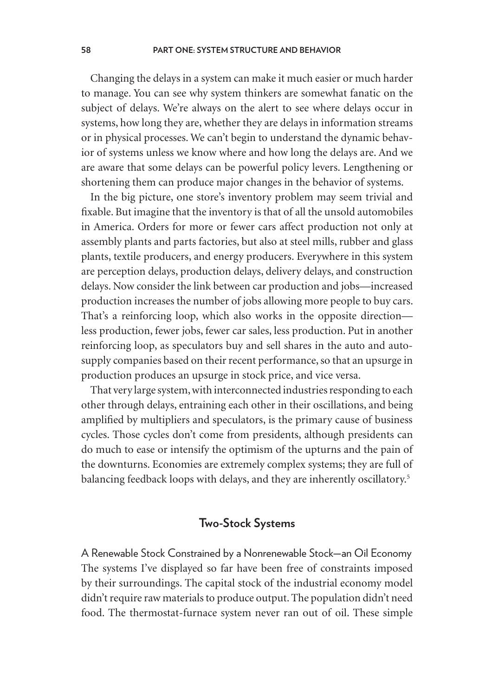Changing the delays in a system can make it much easier or much harder to manage. You can see why system thinkers are somewhat fanatic on the subject of delays. We're always on the alert to see where delays occur in systems, how long they are, whether they are delays in information streams or in physical processes. We can't begin to understand the dynamic behavior of systems unless we know where and how long the delays are. And we are aware that some delays can be powerful policy levers. Lengthening or shortening them can produce major changes in the behavior of systems.

In the big picture, one store's inventory problem may seem trivial and fixable. But imagine that the inventory is that of all the unsold automobiles in America. Orders for more or fewer cars affect production not only at assembly plants and parts factories, but also at steel mills, rubber and glass plants, textile producers, and energy producers. Everywhere in this system are perception delays, production delays, delivery delays, and construction delays. Now consider the link between car production and jobs—increased production increases the number of jobs allowing more people to buy cars. That's a reinforcing loop, which also works in the opposite direction less production, fewer jobs, fewer car sales, less production. Put in another reinforcing loop, as speculators buy and sell shares in the auto and autosupply companies based on their recent performance, so that an upsurge in production produces an upsurge in stock price, and vice versa.

That very large system, with interconnected industries responding to each other through delays, entraining each other in their oscillations, and being amplified by multipliers and speculators, is the primary cause of business cycles. Those cycles don't come from presidents, although presidents can do much to ease or intensify the optimism of the upturns and the pain of the downturns. Economies are extremely complex systems; they are full of balancing feedback loops with delays, and they are inherently oscillatory.<sup>5</sup>

## **Two-Stock Systems**

A Renewable Stock Constrained by a Nonrenewable Stock—an Oil Economy The systems I've displayed so far have been free of constraints imposed by their surroundings. The capital stock of the industrial economy model didn't require raw materials to produce output. The population didn't need food. The thermostat-furnace system never ran out of oil. These simple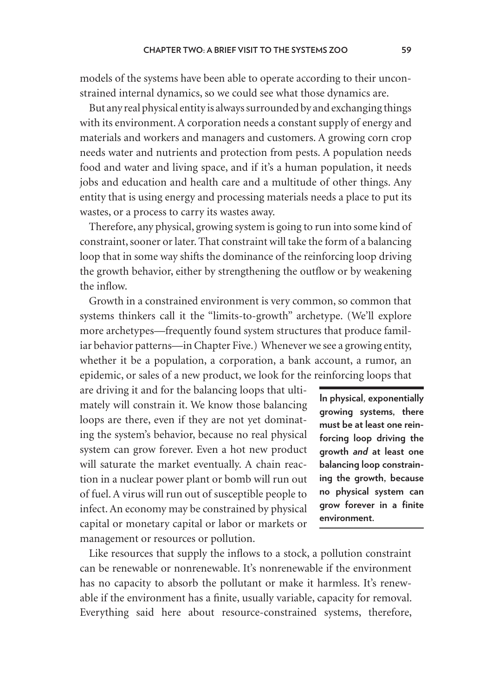models of the systems have been able to operate according to their unconstrained internal dynamics, so we could see what those dynamics are.

But any real physical entity is always surrounded by and exchanging things with its environment. A corporation needs a constant supply of energy and materials and workers and managers and customers. A growing corn crop needs water and nutrients and protection from pests. A population needs food and water and living space, and if it's a human population, it needs jobs and education and health care and a multitude of other things. Any entity that is using energy and processing materials needs a place to put its wastes, or a process to carry its wastes away.

Therefore, any physical, growing system is going to run into some kind of constraint, sooner or later. That constraint will take the form of a balancing loop that in some way shifts the dominance of the reinforcing loop driving the growth behavior, either by strengthening the outflow or by weakening the inflow.

Growth in a constrained environment is very common, so common that systems thinkers call it the "limits-to-growth" archetype. (We'll explore more archetypes—frequently found system structures that produce familiar behavior patterns—in Chapter Five.) Whenever we see a growing entity, whether it be a population, a corporation, a bank account, a rumor, an epidemic, or sales of a new product, we look for the reinforcing loops that

are driving it and for the balancing loops that ultimately will constrain it. We know those balancing loops are there, even if they are not yet dominating the system's behavior, because no real physical system can grow forever. Even a hot new product will saturate the market eventually. A chain reaction in a nuclear power plant or bomb will run out of fuel. A virus will run out of susceptible people to infect. An economy may be constrained by physical capital or monetary capital or labor or markets or management or resources or pollution.

**In physical, exponentially growing systems, there must be at least one reinforcing loop driving the growth** *and* **at least one balancing loop constraining the growth, because no physical system can grow forever in a finite environment.**

Like resources that supply the inflows to a stock, a pollution constraint can be renewable or nonrenewable. It's nonrenewable if the environment has no capacity to absorb the pollutant or make it harmless. It's renewable if the environment has a finite, usually variable, capacity for removal. Everything said here about resource-constrained systems, therefore,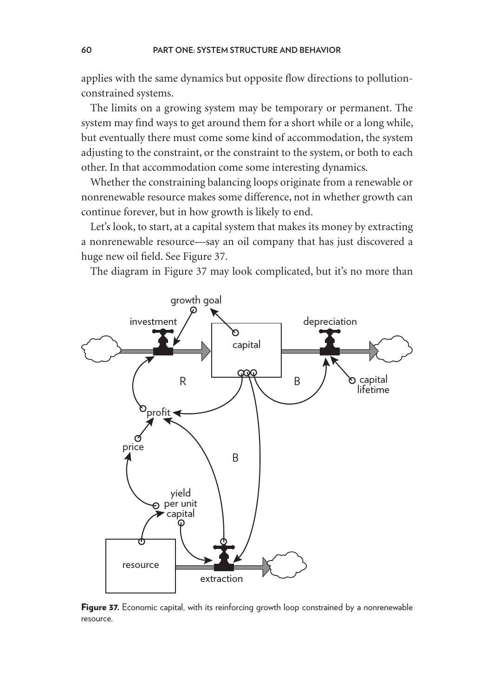applies with the same dynamics but opposite flow directions to pollutionconstrained systems.

The limits on a growing system may be temporary or permanent. The system may find ways to get around them for a short while or a long while, but eventually there must come some kind of accommodation, the system adjusting to the constraint, or the constraint to the system, or both to each other. In that accommodation come some interesting dynamics.

Whether the constraining balancing loops originate from a renewable or nonrenewable resource makes some difference, not in whether growth can continue forever, but in how growth is likely to end.

Let's look, to start, at a capital system that makes its money by extracting a nonrenewable resource—say an oil company that has just discovered a huge new oil field. See Figure 37.

The diagram in Figure 37 may look complicated, but it's no more than



Figure 37. Economic capital, with its reinforcing growth loop constrained by a nonrenewable resource.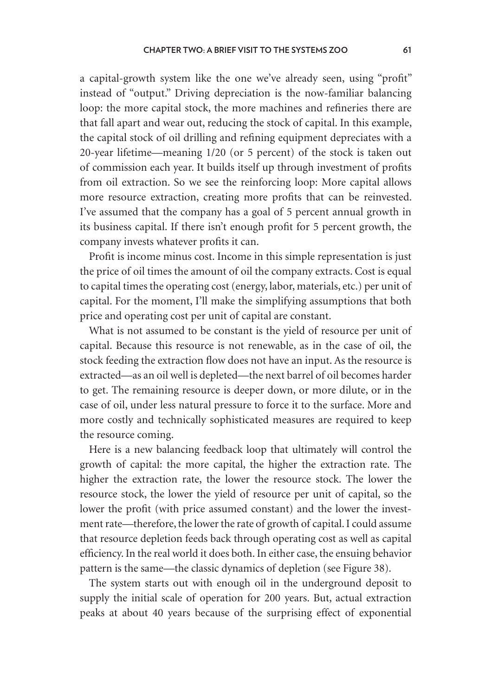a capital-growth system like the one we've already seen, using "profit" instead of "output." Driving depreciation is the now-familiar balancing loop: the more capital stock, the more machines and refineries there are that fall apart and wear out, reducing the stock of capital. In this example, the capital stock of oil drilling and refining equipment depreciates with a 20-year lifetime—meaning 1/20 (or 5 percent) of the stock is taken out of commission each year. It builds itself up through investment of profits from oil extraction. So we see the reinforcing loop: More capital allows more resource extraction, creating more profits that can be reinvested. I've assumed that the company has a goal of 5 percent annual growth in its business capital. If there isn't enough profit for 5 percent growth, the company invests whatever profits it can.

Profit is income minus cost. Income in this simple representation is just the price of oil times the amount of oil the company extracts. Cost is equal to capital times the operating cost (energy, labor, materials, etc.) per unit of capital. For the moment, I'll make the simplifying assumptions that both price and operating cost per unit of capital are constant.

What is not assumed to be constant is the yield of resource per unit of capital. Because this resource is not renewable, as in the case of oil, the stock feeding the extraction flow does not have an input. As the resource is extracted—as an oil well is depleted—the next barrel of oil becomes harder to get. The remaining resource is deeper down, or more dilute, or in the case of oil, under less natural pressure to force it to the surface. More and more costly and technically sophisticated measures are required to keep the resource coming.

Here is a new balancing feedback loop that ultimately will control the growth of capital: the more capital, the higher the extraction rate. The higher the extraction rate, the lower the resource stock. The lower the resource stock, the lower the yield of resource per unit of capital, so the lower the profit (with price assumed constant) and the lower the investment rate—therefore, the lower the rate of growth of capital. I could assume that resource depletion feeds back through operating cost as well as capital efficiency. In the real world it does both. In either case, the ensuing behavior pattern is the same—the classic dynamics of depletion (see Figure 38).

The system starts out with enough oil in the underground deposit to supply the initial scale of operation for 200 years. But, actual extraction peaks at about 40 years because of the surprising effect of exponential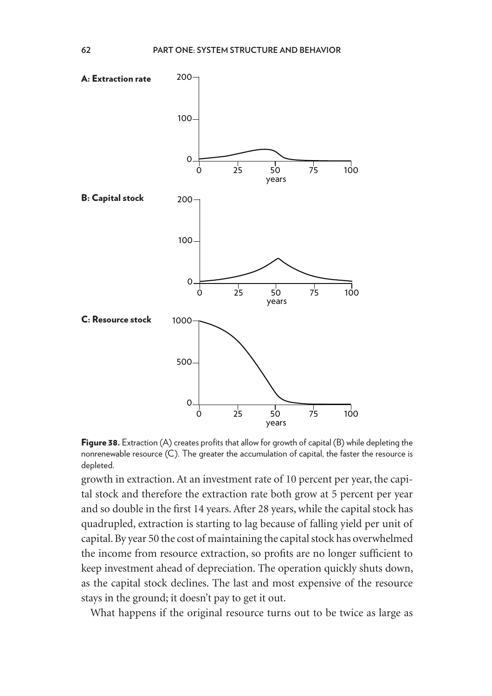

Figure 38. Extraction (A) creates profits that allow for growth of capital (B) while depleting the nonrenewable resource (C). The greater the accumulation of capital, the faster the resource is depleted.

growth in extraction. At an investment rate of 10 percent per year, the capital stock and therefore the extraction rate both grow at 5 percent per year and so double in the first 14 years. After 28 years, while the capital stock has quadrupled, extraction is starting to lag because of falling yield per unit of capital. By year 50 the cost of maintaining the capital stock has overwhelmed the income from resource extraction, so profits are no longer sufficient to keep investment ahead of depreciation. The operation quickly shuts down, as the capital stock declines. The last and most expensive of the resource stays in the ground; it doesn't pay to get it out.

What happens if the original resource turns out to be twice as large as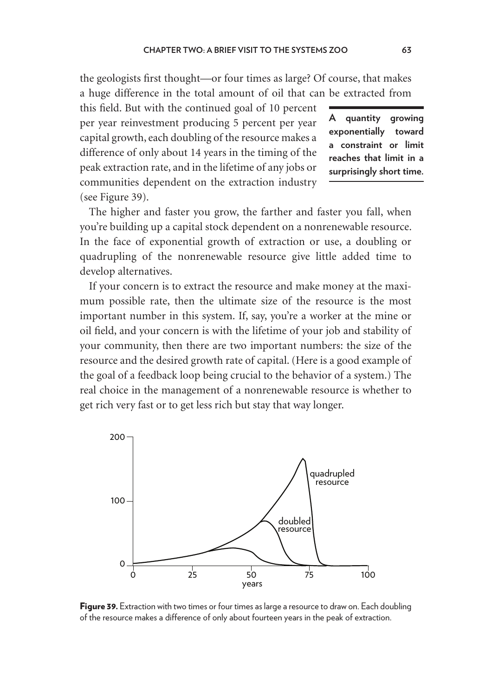the geologists first thought—or four times as large? Of course, that makes a huge difference in the total amount of oil that can be extracted from

this field. But with the continued goal of 10 percent per year reinvestment producing 5 percent per year capital growth, each doubling of the resource makes a difference of only about 14 years in the timing of the peak extraction rate, and in the lifetime of any jobs or communities dependent on the extraction industry (see Figure 39).

**A quantity growing exponentially toward a constraint or limit reaches that limit in a surprisingly short time.**

The higher and faster you grow, the farther and faster you fall, when you're building up a capital stock dependent on a nonrenewable resource. In the face of exponential growth of extraction or use, a doubling or quadrupling of the nonrenewable resource give little added time to develop alternatives.

If your concern is to extract the resource and make money at the maximum possible rate, then the ultimate size of the resource is the most important number in this system. If, say, you're a worker at the mine or oil field, and your concern is with the lifetime of your job and stability of your community, then there are two important numbers: the size of the resource and the desired growth rate of capital. (Here is a good example of the goal of a feedback loop being crucial to the behavior of a system.) The real choice in the management of a nonrenewable resource is whether to get rich very fast or to get less rich but stay that way longer.



Figure 39. Extraction with two times or four times as large a resource to draw on. Each doubling of the resource makes a difference of only about fourteen years in the peak of extraction.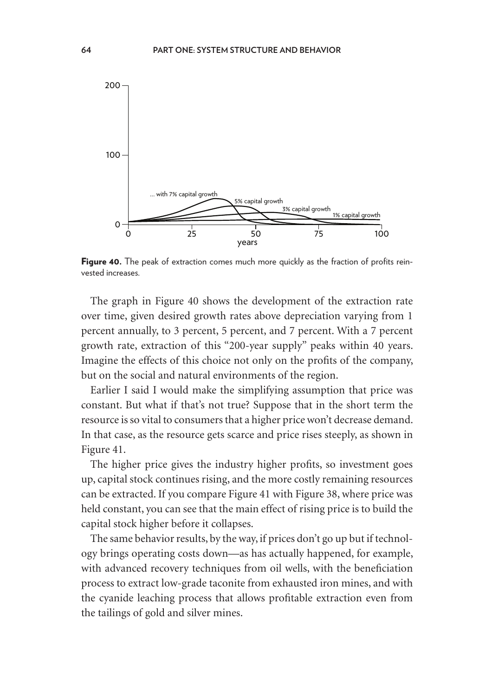

**Figure 40.** The peak of extraction comes much more quickly as the fraction of profits reinvested increases.

The graph in Figure 40 shows the development of the extraction rate over time, given desired growth rates above depreciation varying from 1 percent annually, to 3 percent, 5 percent, and 7 percent. With a 7 percent growth rate, extraction of this "200-year supply" peaks within 40 years. Imagine the effects of this choice not only on the profits of the company, but on the social and natural environments of the region.

Earlier I said I would make the simplifying assumption that price was constant. But what if that's not true? Suppose that in the short term the resource is so vital to consumers that a higher price won't decrease demand. In that case, as the resource gets scarce and price rises steeply, as shown in Figure 41.

The higher price gives the industry higher profits, so investment goes up, capital stock continues rising, and the more costly remaining resources can be extracted. If you compare Figure 41 with Figure 38, where price was held constant, you can see that the main effect of rising price is to build the capital stock higher before it collapses.

The same behavior results, by the way, if prices don't go up but if technology brings operating costs down—as has actually happened, for example, with advanced recovery techniques from oil wells, with the beneficiation process to extract low-grade taconite from exhausted iron mines, and with the cyanide leaching process that allows profitable extraction even from the tailings of gold and silver mines.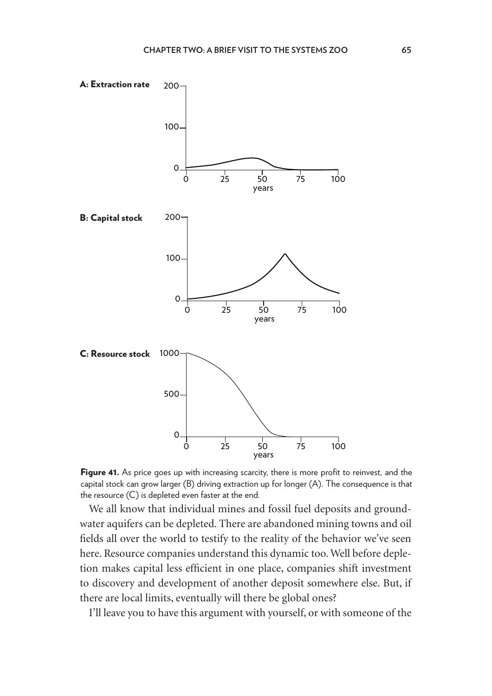

**Figure 41.** As price goes up with increasing scarcity, there is more profit to reinvest, and the capital stock can grow larger (B) driving extraction up for longer (A). The consequence is that the resource (C) is depleted even faster at the end.

We all know that individual mines and fossil fuel deposits and groundwater aquifers can be depleted. There are abandoned mining towns and oil fields all over the world to testify to the reality of the behavior we've seen here. Resource companies understand this dynamic too. Well before depletion makes capital less efficient in one place, companies shift investment to discovery and development of another deposit somewhere else. But, if there are local limits, eventually will there be global ones?

I'll leave you to have this argument with yourself, or with someone of the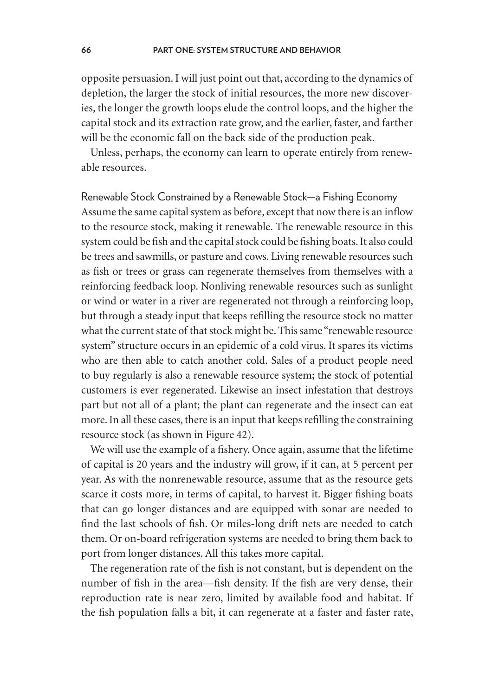opposite persuasion. I will just point out that, according to the dynamics of depletion, the larger the stock of initial resources, the more new discoveries, the longer the growth loops elude the control loops, and the higher the capital stock and its extraction rate grow, and the earlier, faster, and farther will be the economic fall on the back side of the production peak.

Unless, perhaps, the economy can learn to operate entirely from renewable resources.

Renewable Stock Constrained by a Renewable Stock—a Fishing Economy Assume the same capital system as before, except that now there is an inflow to the resource stock, making it renewable. The renewable resource in this system could be fish and the capital stock could be fishing boats. It also could be trees and sawmills, or pasture and cows. Living renewable resources such as fish or trees or grass can regenerate themselves from themselves with a reinforcing feedback loop. Nonliving renewable resources such as sunlight or wind or water in a river are regenerated not through a reinforcing loop, but through a steady input that keeps refilling the resource stock no matter what the current state of that stock might be. This same "renewable resource system" structure occurs in an epidemic of a cold virus. It spares its victims who are then able to catch another cold. Sales of a product people need to buy regularly is also a renewable resource system; the stock of potential customers is ever regenerated. Likewise an insect infestation that destroys part but not all of a plant; the plant can regenerate and the insect can eat more. In all these cases, there is an input that keeps refilling the constraining resource stock (as shown in Figure 42).

We will use the example of a fishery. Once again, assume that the lifetime of capital is 20 years and the industry will grow, if it can, at 5 percent per year. As with the nonrenewable resource, assume that as the resource gets scarce it costs more, in terms of capital, to harvest it. Bigger fishing boats that can go longer distances and are equipped with sonar are needed to find the last schools of fish. Or miles-long drift nets are needed to catch them. Or on-board refrigeration systems are needed to bring them back to port from longer distances. All this takes more capital.

The regeneration rate of the fish is not constant, but is dependent on the number of fish in the area—fish density. If the fish are very dense, their reproduction rate is near zero, limited by available food and habitat. If the fish population falls a bit, it can regenerate at a faster and faster rate,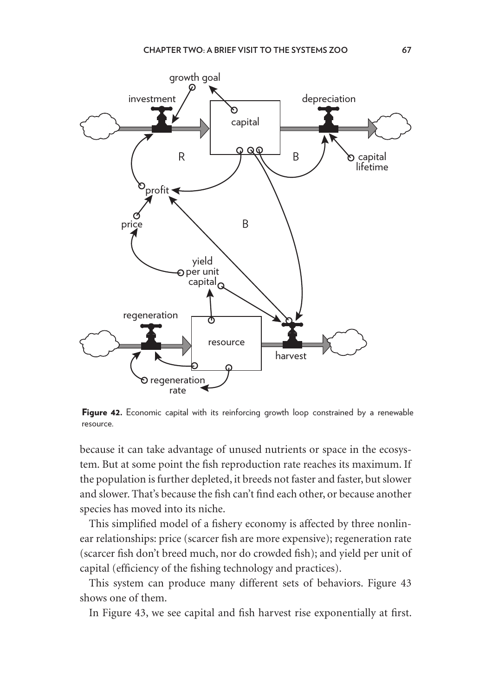

Figure 42. Economic capital with its reinforcing growth loop constrained by a renewable resource.

because it can take advantage of unused nutrients or space in the ecosystem. But at some point the fish reproduction rate reaches its maximum. If the population is further depleted, it breeds not faster and faster, but slower and slower. That's because the fish can't find each other, or because another species has moved into its niche.

This simplified model of a fishery economy is affected by three nonlinear relationships: price (scarcer fish are more expensive); regeneration rate (scarcer fish don't breed much, nor do crowded fish); and yield per unit of capital (efficiency of the fishing technology and practices).

This system can produce many different sets of behaviors. Figure 43 shows one of them.

In Figure 43, we see capital and fish harvest rise exponentially at first.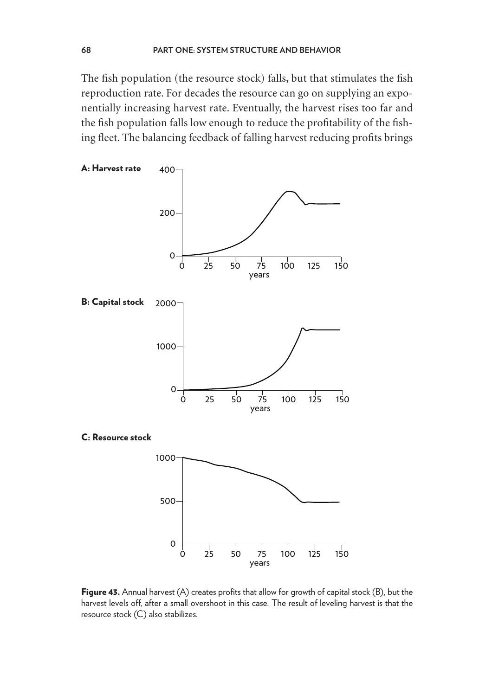The fish population (the resource stock) falls, but that stimulates the fish reproduction rate. For decades the resource can go on supplying an exponentially increasing harvest rate. Eventually, the harvest rises too far and the fish population falls low enough to reduce the profitability of the fishing fleet. The balancing feedback of falling harvest reducing profits brings



Figure 43. Annual harvest  $(A)$  creates profits that allow for growth of capital stock  $(B)$ , but the harvest levels off, after a small overshoot in this case. The result of leveling harvest is that the resource stock (C) also stabilizes.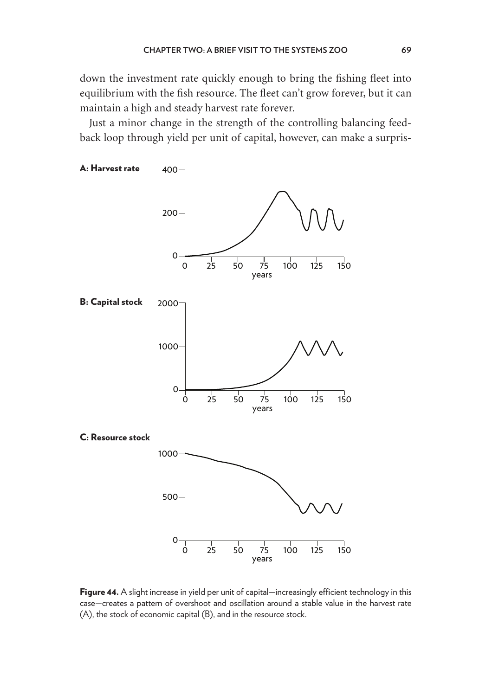down the investment rate quickly enough to bring the fishing fleet into equilibrium with the fish resource. The fleet can't grow forever, but it can maintain a high and steady harvest rate forever.

Just a minor change in the strength of the controlling balancing feedback loop through yield per unit of capital, however, can make a surpris-



Figure 44. A slight increase in yield per unit of capital—increasingly efficient technology in this case—creates a pattern of overshoot and oscillation around a stable value in the harvest rate (A), the stock of economic capital (B), and in the resource stock.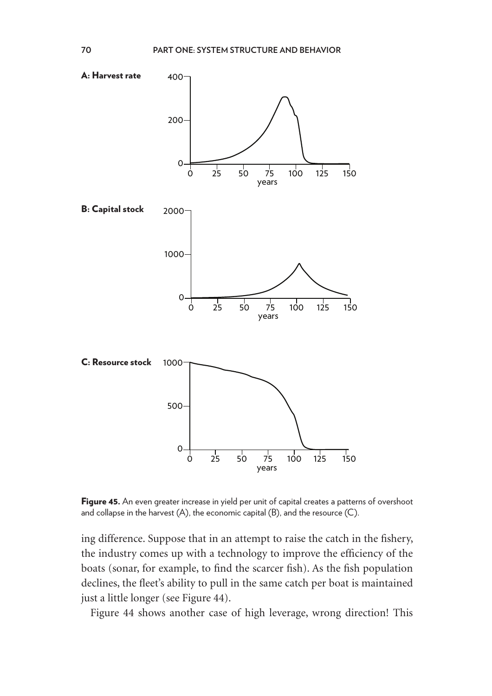

Figure 45. An even greater increase in yield per unit of capital creates a patterns of overshoot and collapse in the harvest (A), the economic capital (B), and the resource (C).

ing difference. Suppose that in an attempt to raise the catch in the fishery, the industry comes up with a technology to improve the efficiency of the boats (sonar, for example, to find the scarcer fish). As the fish population declines, the fleet's ability to pull in the same catch per boat is maintained just a little longer (see Figure 44).

Figure 44 shows another case of high leverage, wrong direction! This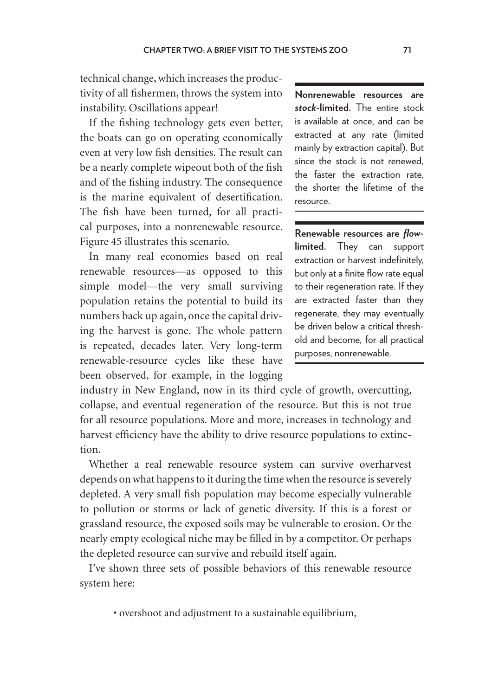technical change, which increases the productivity of all fishermen, throws the system into instability. Oscillations appear!

If the fishing technology gets even better, the boats can go on operating economically even at very low fish densities. The result can be a nearly complete wipeout both of the fish and of the fishing industry. The consequence is the marine equivalent of desertification. The fish have been turned, for all practical purposes, into a nonrenewable resource. Figure 45 illustrates this scenario.

In many real economies based on real renewable resources—as opposed to this simple model—the very small surviving population retains the potential to build its numbers back up again, once the capital driving the harvest is gone. The whole pattern is repeated, decades later. Very long-term renewable-resource cycles like these have been observed, for example, in the logging **Nonrenewable resources are**  *stock***-limited.** The entire stock is available at once, and can be extracted at any rate (limited mainly by extraction capital). But since the stock is not renewed, the faster the extraction rate, the shorter the lifetime of the resource.

Renewable resources are *flow***limited.** They can support extraction or harvest indefinitely, but only at a finite flow rate equal to their regeneration rate. If they are extracted faster than they regenerate, they may eventually be driven below a critical threshold and become, for all practical purposes, nonrenewable.

industry in New England, now in its third cycle of growth, overcutting, collapse, and eventual regeneration of the resource. But this is not true for all resource populations. More and more, increases in technology and harvest efficiency have the ability to drive resource populations to extinction.

Whether a real renewable resource system can survive overharvest depends on what happens to it during the time when the resource is severely depleted. A very small fish population may become especially vulnerable to pollution or storms or lack of genetic diversity. If this is a forest or grassland resource, the exposed soils may be vulnerable to erosion. Or the nearly empty ecological niche may be filled in by a competitor. Or perhaps the depleted resource can survive and rebuild itself again.

I've shown three sets of possible behaviors of this renewable resource system here:

• overshoot and adjustment to a sustainable equilibrium,